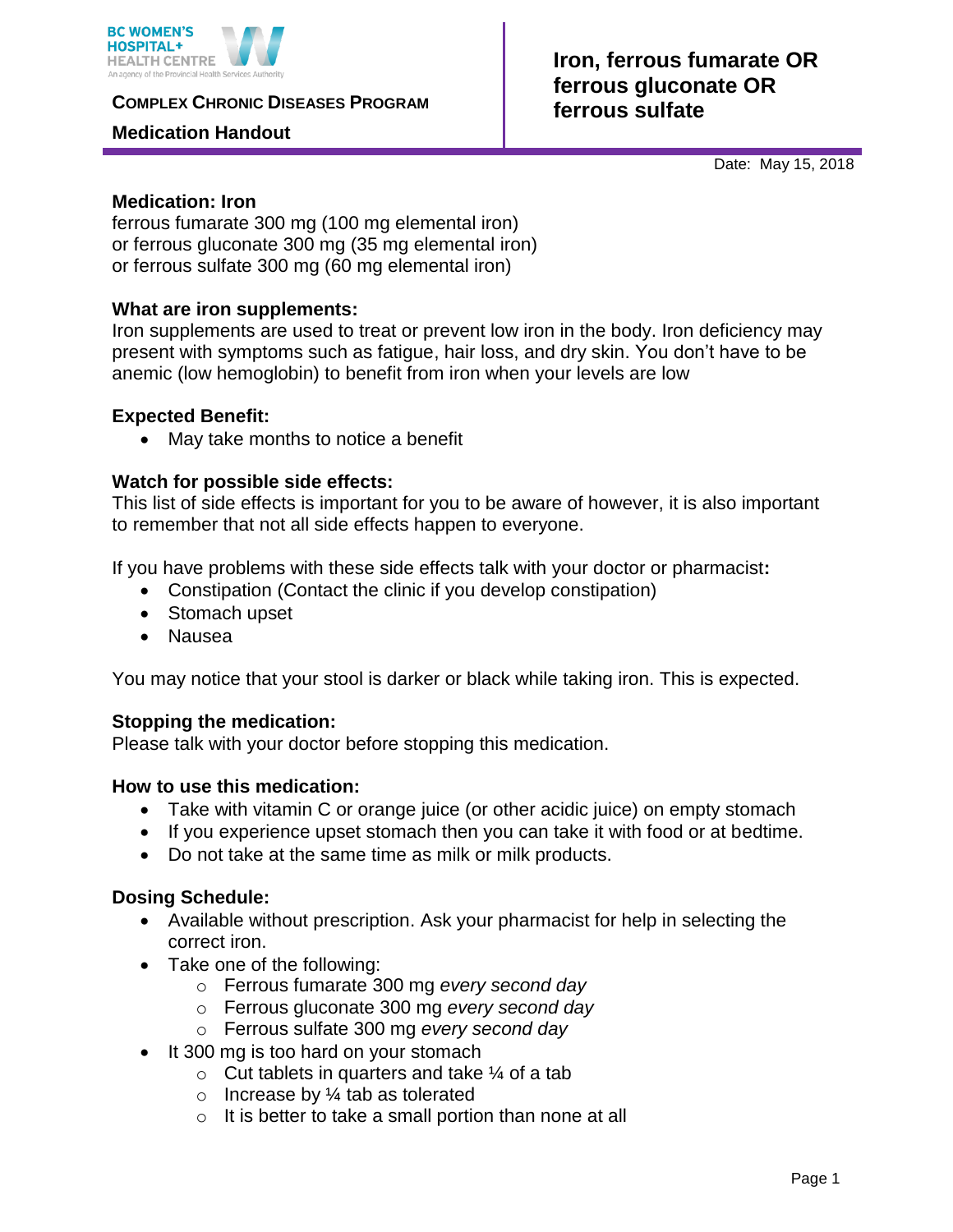

**COMPLEX CHRONIC DISEASES PROGRAM** 

#### **Medication Handout**

# **Iron, ferrous fumarate OR ferrous gluconate OR ferrous sulfate**

Date: May 15, 2018

#### **Medication: Iron**

ferrous fumarate 300 mg (100 mg elemental iron) or ferrous gluconate 300 mg (35 mg elemental iron) or ferrous sulfate 300 mg (60 mg elemental iron)

#### **What are iron supplements:**

Iron supplements are used to treat or prevent low iron in the body. Iron deficiency may present with symptoms such as fatigue, hair loss, and dry skin. You don't have to be anemic (low hemoglobin) to benefit from iron when your levels are low

## **Expected Benefit:**

• May take months to notice a benefit

## **Watch for possible side effects:**

This list of side effects is important for you to be aware of however, it is also important to remember that not all side effects happen to everyone.

If you have problems with these side effects talk with your doctor or pharmacist**:**

- Constipation (Contact the clinic if you develop constipation)
- Stomach upset
- Nausea

You may notice that your stool is darker or black while taking iron. This is expected.

#### **Stopping the medication:**

Please talk with your doctor before stopping this medication.

#### **How to use this medication:**

- Take with vitamin C or orange juice (or other acidic juice) on empty stomach
- If you experience upset stomach then you can take it with food or at bedtime.
- Do not take at the same time as milk or milk products.

#### **Dosing Schedule:**

- Available without prescription. Ask your pharmacist for help in selecting the correct iron.
- Take one of the following:
	- o Ferrous fumarate 300 mg *every second day*
	- o Ferrous gluconate 300 mg *every second day*
	- o Ferrous sulfate 300 mg *every second day*
- It 300 mg is too hard on your stomach
	- $\circ$  Cut tablets in quarters and take  $\frac{1}{4}$  of a tab
		- $\circ$  Increase by  $\frac{1}{4}$  tab as tolerated
	- $\circ$  It is better to take a small portion than none at all